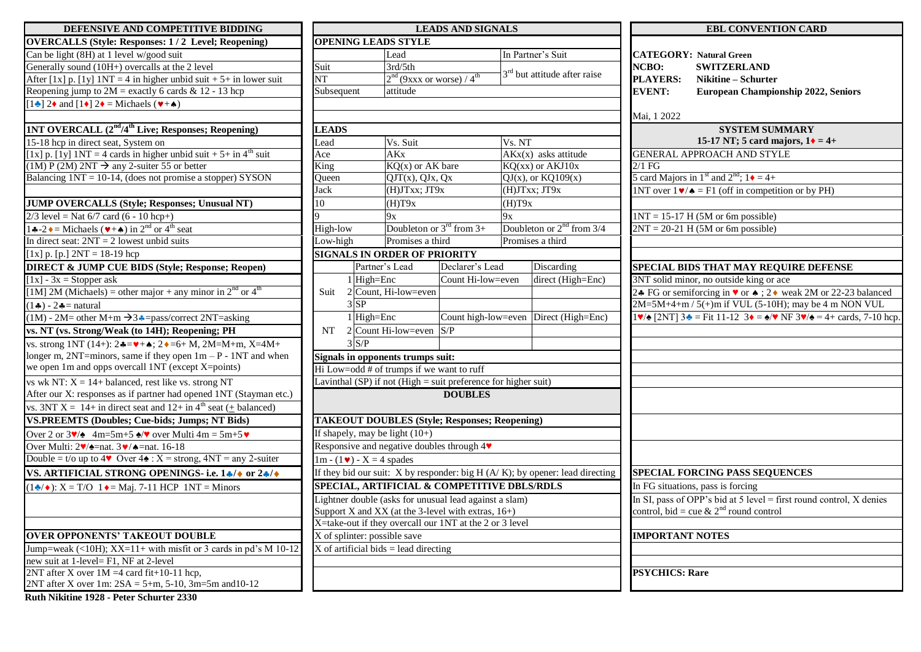| DEFENSIVE AND COMPETITIVE BIDDING                                                                            | <b>LEADS AND SIGNALS</b>                                         |                |                                                                  |                                         |        |                                |  |
|--------------------------------------------------------------------------------------------------------------|------------------------------------------------------------------|----------------|------------------------------------------------------------------|-----------------------------------------|--------|--------------------------------|--|
| <b>OVERCALLS (Style: Responses: 1/2 Level; Reopening)</b>                                                    |                                                                  |                | <b>OPENING LEADS STYLE</b>                                       |                                         |        |                                |  |
| Can be light (8H) at 1 level w/good suit                                                                     |                                                                  |                | Lead                                                             |                                         |        | In Partner's Suit              |  |
| Generally sound (10H+) overcalls at the 2 level                                                              | Suit<br>NT                                                       |                | 3rd/5th                                                          | $2nd$ (9xxx or worse) / 4 <sup>th</sup> |        | 3 <sup>rd</sup> but attitude a |  |
| After $[1x]$ p. $[1y]$ 1NT = 4 in higher unbid suit + 5+ in lower suit                                       |                                                                  |                |                                                                  |                                         |        |                                |  |
| Reopening jump to $2M$ = exactly 6 cards & 12 - 13 hcp                                                       | Subsequent                                                       |                | attitude                                                         |                                         |        |                                |  |
| $[1\bullet]$ 2 $\bullet$ and $[1\bullet]$ 2 $\bullet$ = Michaels ( $\nbullet$ + $\bullet$ )                  |                                                                  |                |                                                                  |                                         |        |                                |  |
|                                                                                                              |                                                                  |                |                                                                  |                                         |        |                                |  |
| 1NT OVERCALL (2 <sup>nd</sup> /4 <sup>th</sup> Live; Responses; Reopening)                                   | <b>LEADS</b>                                                     |                |                                                                  |                                         |        |                                |  |
| 15-18 hcp in direct seat, System on                                                                          | Lead                                                             |                | Vs. Suit                                                         |                                         | Vs. NT |                                |  |
| [1x] p. [1y] $1NT = 4$ cards in higher unbid suit + 5+ in 4 <sup>th</sup> suit                               | Ace                                                              |                | AKx                                                              |                                         |        | $AKx(x)$ asks att              |  |
| $(1M) P (2M) 2NT \rightarrow any 2-suiter 55 or better$                                                      | King                                                             |                |                                                                  | $KQ(x)$ or AK bare                      |        | $KQ(xx)$ or $AKJ$              |  |
| Balancing $1NT = 10-14$ , (does not promise a stopper) SYSON                                                 | Oueen                                                            |                | $\overline{QJT(x)}$ , $\overline{QJx}$ , $\overline{Qx}$         |                                         |        | $QJ(x)$ , or $KQ10$            |  |
|                                                                                                              | Jack                                                             |                | $(H)$ J $Txx$ ; J $T9x$                                          |                                         |        | $(H)$ J $Txx$ ; J $T9x$        |  |
| <b>JUMP OVERCALLS (Style; Responses; Unusual NT)</b>                                                         | 10                                                               |                | (H)T9x                                                           |                                         | (H)T9x |                                |  |
| $2/3$ level = Nat 6/7 card (6 - 10 hcp+)                                                                     | $\overline{Q}$                                                   |                | 9x                                                               |                                         | 9x     |                                |  |
| 14-2 $\bullet$ = Michaels ( $\bullet$ + $\bullet$ ) in 2 <sup>nd</sup> or 4 <sup>th</sup> seat               |                                                                  | High-low       |                                                                  | Doubleton or $3^{rd}$ from $3+$         |        | Doubleton or $2^{n}$           |  |
| In direct seat: $2NT = 2$ lowest unbid suits                                                                 |                                                                  | Low-high       |                                                                  | Promises a third                        |        | Promises a third               |  |
| [1x] p. [p.] $2NT = 18-19$ hcp                                                                               |                                                                  |                | <b>SIGNALS IN ORDER OF PRIORITY</b>                              |                                         |        |                                |  |
| <b>DIRECT &amp; JUMP CUE BIDS (Style; Response; Reopen)</b>                                                  |                                                                  | Partner's Lead |                                                                  | Declarer's Lead                         |        | Discardi                       |  |
| $[1x] - 3x =$ Stopper ask                                                                                    |                                                                  |                | $1$ High=Enc                                                     | Count Hi-low=even                       |        | direct (F                      |  |
| [1M] 2M (Michaels) = other major + any minor in $2nd$ or $4th$                                               | Suit                                                             |                | 2 Count, Hi-low=even                                             |                                         |        |                                |  |
| $(1\clubsuit) - 2\clubsuit =$ natural                                                                        |                                                                  | $3$ $SP$       |                                                                  |                                         |        |                                |  |
| $(1M)$ - 2M= other M+m $\rightarrow$ 3.4=pass/correct 2NT=asking                                             |                                                                  |                | $1$ High=Enc                                                     | Count high-low=even Direct (I           |        |                                |  |
| vs. NT (vs. Strong/Weak (to 14H); Reopening; PH                                                              | <b>NT</b>                                                        |                | $2$ Count Hi-low=even                                            | S/P                                     |        |                                |  |
| vs. strong 1NT (14+): $2 \cdot \bullet = \bullet + \bullet$ ; $2 \cdot \bullet = 6 + M$ , $2M=M+m$ , $X=4M+$ |                                                                  | 3S/P           |                                                                  |                                         |        |                                |  |
| longer m, $2NT = minors$ , same if they open $1m - P - 1NT$ and when                                         | Signals in opponents trumps suit:                                |                |                                                                  |                                         |        |                                |  |
| we open 1m and opps overcall 1NT (except X=points)                                                           |                                                                  |                | Hi Low=odd # of trumps if we want to ruff                        |                                         |        |                                |  |
| vs wk NT: $X = 14 + \text{balanced}$ , rest like vs. strong NT                                               |                                                                  |                | Lavinthal $(SP)$ if not (High = suit preference for higher suit) |                                         |        |                                |  |
| After our X: responses as if partner had opened 1NT (Stayman etc.)                                           |                                                                  |                |                                                                  | <b>DOUBLES</b>                          |        |                                |  |
| vs. 3NT X = 14+ in direct seat and 12+ in 4 <sup>th</sup> seat ( $\pm$ balanced)                             |                                                                  |                |                                                                  |                                         |        |                                |  |
| <b>VS.PREEMTS (Doubles; Cue-bids; Jumps; NT Bids)</b>                                                        |                                                                  |                | <b>TAKEOUT DOUBLES (Style; Responses; Reopening)</b>             |                                         |        |                                |  |
| Over 2 or $3\sqrt{4}$ 4m=5m+5 $\sqrt{4}$ over Multi 4m = 5m+5                                                |                                                                  |                | If shapely, may be light $(10+)$                                 |                                         |        |                                |  |
| Over Multi: $2\sqrt{2}$ =nat. $3\sqrt{4}$ =nat. 16-18                                                        | Responsive and negative doubles through 4                        |                |                                                                  |                                         |        |                                |  |
| Double = $t/\overline{o}$ up to 4 $\bullet$ Over 4 $\bullet$ : $X =$ strong, 4NT = any 2-suiter              |                                                                  |                | $1m - (1 \cdot ) - X = 4$ spades                                 |                                         |        |                                |  |
| VS. ARTIFICIAL STRONG OPENINGS-i.e. 1+/+ or 2+/+                                                             | If they bid our suit: X by responder: big H (A/K); by opener: le |                |                                                                  |                                         |        |                                |  |
| $(1\clubsuit/\bullet)$ : X = T/O 1 $\bullet$ = Maj. 7-11 HCP 1NT = Minors                                    | SPECIAL, ARTIFICIAL & COMPETITIVE DBLS/RDLS                      |                |                                                                  |                                         |        |                                |  |
|                                                                                                              | Lightner double (asks for unusual lead against a slam)           |                |                                                                  |                                         |        |                                |  |
|                                                                                                              | Support X and XX (at the 3-level with extras, 16+)               |                |                                                                  |                                         |        |                                |  |
|                                                                                                              | X=take-out if they overcall our 1NT at the 2 or 3 level          |                |                                                                  |                                         |        |                                |  |
| <b>OVER OPPONENTS' TAKEOUT DOUBLE</b>                                                                        |                                                                  |                | X of splinter: possible save                                     |                                         |        |                                |  |
| Jump=weak $(\langle 10H \rangle; XX=11+$ with misfit or 3 cards in pd's M 10-12                              |                                                                  |                | $X$ of artificial bids = lead directing                          |                                         |        |                                |  |
| new suit at 1-level= F1, NF at 2-level                                                                       |                                                                  |                |                                                                  |                                         |        |                                |  |
| $2NT$ after X over $1M = 4$ card fit+10-11 hcp,                                                              |                                                                  |                |                                                                  |                                         |        |                                |  |
| $2NT$ after X over 1m: $2SA = 5+m$ , 5-10, 3m=5m and 10-12                                                   |                                                                  |                |                                                                  |                                         |        |                                |  |

| DEFENSIVE AND COMPETITIVE BIDDING                                                                                                                            | <b>LEADS AND SIGNALS</b>                                                                                            |                                                                     |                                                               |                                | <b>EBL CONVENTION CARD</b>                                                                                        |                                   |                                                                                                                                                   |
|--------------------------------------------------------------------------------------------------------------------------------------------------------------|---------------------------------------------------------------------------------------------------------------------|---------------------------------------------------------------------|---------------------------------------------------------------|--------------------------------|-------------------------------------------------------------------------------------------------------------------|-----------------------------------|---------------------------------------------------------------------------------------------------------------------------------------------------|
| <b>OVERCALLS (Style: Responses: 1/2 Level; Reopening)</b>                                                                                                    | <b>OPENING LEADS STYLE</b>                                                                                          |                                                                     |                                                               |                                |                                                                                                                   |                                   |                                                                                                                                                   |
| Can be light (8H) at 1 level w/good suit                                                                                                                     |                                                                                                                     | Lead                                                                |                                                               |                                | In Partner's Suit                                                                                                 |                                   | <b>CATEGORY: Natural Green</b>                                                                                                                    |
| Generally sound (10H+) overcalls at the 2 level                                                                                                              | Suit<br>3rd/5th                                                                                                     |                                                                     |                                                               |                                | <b>NCBO:</b>                                                                                                      | <b>SWITZERLAND</b>                |                                                                                                                                                   |
| After $[1x]$ p. $[1y]$ 1NT = 4 in higher unbid suit + 5+ in lower suit                                                                                       | NT                                                                                                                  | $2nd$ (9xxx or worse) / 4 <sup>th</sup>                             |                                                               | $3rd$ but attitude after raise |                                                                                                                   | <b>PLAYERS:</b>                   | Nikitine – Schurter                                                                                                                               |
| Reopening jump to $2M =$ exactly 6 cards & 12 - 13 hcp                                                                                                       | Subsequent                                                                                                          | attitude                                                            |                                                               |                                |                                                                                                                   | <b>EVENT:</b>                     | <b>European Championship 2022, Seniors</b>                                                                                                        |
| $[1\bullet]$ 2 $\bullet$ and $[1\bullet]$ 2 $\bullet$ = Michaels ( $\neg$ + $\bullet$ )                                                                      |                                                                                                                     |                                                                     |                                                               |                                |                                                                                                                   |                                   |                                                                                                                                                   |
|                                                                                                                                                              |                                                                                                                     |                                                                     |                                                               |                                |                                                                                                                   | Mai, 1 2022                       |                                                                                                                                                   |
| 1NT OVERCALL (2 <sup>nd</sup> /4 <sup>th</sup> Live; Responses; Reopening)                                                                                   | <b>LEADS</b>                                                                                                        |                                                                     |                                                               |                                |                                                                                                                   |                                   | <b>SYSTEM SUMMARY</b>                                                                                                                             |
| 15-18 hcp in direct seat, System on                                                                                                                          | Lead                                                                                                                | Vs. Suit                                                            |                                                               | Vs. NT                         |                                                                                                                   |                                   | 15-17 NT; 5 card majors, $1\blacklozenge = 4+$                                                                                                    |
| [1x] p. [1y] $1NT = 4$ cards in higher unbid suit + 5+ in 4 <sup>th</sup> suit                                                                               | Ace                                                                                                                 | AKx                                                                 |                                                               |                                | $AKx(x)$ asks attitude                                                                                            |                                   | <b>GENERAL APPROACH AND STYLE</b>                                                                                                                 |
| $(1M) P (2M) 2NT \rightarrow any 2-suiter 55 or better$                                                                                                      | King                                                                                                                | $KQ(x)$ or AK bare                                                  |                                                               | $KO(xx)$ or $AKJ10x$           |                                                                                                                   | $2/1$ FG                          |                                                                                                                                                   |
| Balancing $1NT = 10-14$ , (does not promise a stopper) SYSON<br>$\overline{QJT(x)}$ , $\overline{QJx}$ , $\overline{Qx}$<br>$QJ(x)$ , or $KQ109(x)$<br>Oueen |                                                                                                                     |                                                                     | 5 card Majors in 1 <sup>st</sup> and $2nd$ ; 1 $\bullet$ = 4+ |                                |                                                                                                                   |                                   |                                                                                                                                                   |
|                                                                                                                                                              | Jack                                                                                                                | (H)JTxx; JT9x                                                       |                                                               | (H)JTxx; JT9x                  |                                                                                                                   |                                   | <b>1NT</b> over $1 \vee \wedge = F1$ (off in competition or by PH)                                                                                |
| <b>JUMP OVERCALLS (Style; Responses; Unusual NT)</b>                                                                                                         | 10                                                                                                                  | (H)T9x                                                              |                                                               | (H)T9x                         |                                                                                                                   |                                   |                                                                                                                                                   |
| $2/3$ level = Nat 6/7 card (6 - 10 hcp+)                                                                                                                     |                                                                                                                     | 9x                                                                  |                                                               | 9x                             |                                                                                                                   |                                   | $1NT = 15-17 H (5M or 6m possible)$                                                                                                               |
| 1.4−2. $\bullet$ = Michaels ( $\bullet$ + $\bullet$ ) in 2 <sup>nd</sup> or 4 <sup>th</sup> seat                                                             | High-low                                                                                                            | Doubleton or $3^{\text{rd}}$ from 3+                                |                                                               |                                | Doubleton or $2nd$ from 3/4                                                                                       |                                   | $2NT = 20-21$ H (5M or 6m possible)                                                                                                               |
| In direct seat: $2NT = 2$ lowest unbid suits                                                                                                                 | Low-high                                                                                                            | Promises a third                                                    |                                                               |                                | Promises a third                                                                                                  |                                   |                                                                                                                                                   |
| [1x] p. [p.] $2NT = 18-19$ hcp                                                                                                                               |                                                                                                                     | <b>SIGNALS IN ORDER OF PRIORITY</b>                                 |                                                               |                                |                                                                                                                   |                                   |                                                                                                                                                   |
| <b>DIRECT &amp; JUMP CUE BIDS (Style; Response; Reopen)</b>                                                                                                  |                                                                                                                     | Partner's Lead                                                      | Declarer's Lead                                               |                                | Discarding                                                                                                        |                                   | <b>SPECIAL BIDS THAT MAY REQUIRE DEFENSE</b>                                                                                                      |
| $[1x] - 3x =$ Stopper ask                                                                                                                                    |                                                                                                                     | $1$ High=Enc                                                        | Count Hi-low=even                                             |                                | direct (High=Enc)                                                                                                 |                                   | 3NT solid minor, no outside king or ace                                                                                                           |
| [1M] 2M (Michaels) = other major + any minor in $2^{nd}$ or $4^{th}$                                                                                         | Suit                                                                                                                | 2 Count, Hi-low=even                                                |                                                               |                                |                                                                                                                   |                                   | 2.4 FG or semiforcing in ♥ or ♦ ; 2.4 weak 2M or 22-23 balanced                                                                                   |
| $(1\clubsuit) - 2\clubsuit =$ natural                                                                                                                        |                                                                                                                     | 35P                                                                 |                                                               |                                |                                                                                                                   |                                   | $2M=5M+4+m/5(+)m$ if VUL (5-10H); may be 4 m NON VUL                                                                                              |
| $(1M)$ - 2M= other M+m $\rightarrow$ 3.4=pass/correct 2NT=asking                                                                                             |                                                                                                                     | $1$ High=Enc                                                        |                                                               |                                | Count high-low=even Direct (High=Enc)                                                                             |                                   | $1\mathbf{v}/\mathbf{A}$ [2NT] $3\mathbf{A} =$ Fit 11-12 $3\mathbf{v} = \mathbf{A}/\mathbf{v}$ NF $3\mathbf{v}/\mathbf{A} = 4 +$ cards, 7-10 hcp. |
| vs. NT (vs. Strong/Weak (to 14H); Reopening; PH                                                                                                              |                                                                                                                     | NT $2$ Count Hi-low=even S/P                                        |                                                               |                                |                                                                                                                   |                                   |                                                                                                                                                   |
| vs. strong 1NT (14+): $2 \cdot \bullet = \bullet + \bullet$ ; $2 \cdot \bullet = 6 + M$ , $2M = M + m$ , $X = 4M +$                                          |                                                                                                                     | 3 S/P                                                               |                                                               |                                |                                                                                                                   |                                   |                                                                                                                                                   |
| longer m, $2NT = minors$ , same if they open $1m - P - 1NT$ and when                                                                                         |                                                                                                                     | Signals in opponents trumps suit:                                   |                                                               |                                |                                                                                                                   |                                   |                                                                                                                                                   |
| we open 1m and opps overcall 1NT (except X=points)                                                                                                           |                                                                                                                     | Hi Low=odd # of trumps if we want to ruff                           |                                                               |                                |                                                                                                                   |                                   |                                                                                                                                                   |
| vs wk NT: $X = 14 + \text{balanced}$ , rest like vs. strong NT                                                                                               |                                                                                                                     | Lavinthal $(SP)$ if not $(High = suit)$ preference for higher suit) |                                                               |                                |                                                                                                                   |                                   |                                                                                                                                                   |
| After our X: responses as if partner had opened 1NT (Stayman etc.)                                                                                           |                                                                                                                     |                                                                     | <b>DOUBLES</b>                                                |                                |                                                                                                                   |                                   |                                                                                                                                                   |
| vs. $3NT X = 14 + in direct seat and 12 + in 4th seat (± balanced)$                                                                                          |                                                                                                                     |                                                                     |                                                               |                                |                                                                                                                   |                                   |                                                                                                                                                   |
| <b>VS.PREEMTS (Doubles; Cue-bids; Jumps; NT Bids)</b>                                                                                                        |                                                                                                                     | <b>TAKEOUT DOUBLES (Style; Responses; Reopening)</b>                |                                                               |                                |                                                                                                                   |                                   |                                                                                                                                                   |
| Over 2 or $3\vee\vee$ 4m=5m+5 $\triangle\vee$ over Multi 4m = 5m+5 $\vee$                                                                                    |                                                                                                                     | If shapely, may be light $(10+)$                                    |                                                               |                                |                                                                                                                   |                                   |                                                                                                                                                   |
| Over Multi: $2\sqrt{2}$ =nat. $3\sqrt{2}$ =nat. 16-18                                                                                                        |                                                                                                                     | Responsive and negative doubles through $4\Psi$                     |                                                               |                                |                                                                                                                   |                                   |                                                                                                                                                   |
| Double = t/o up to 4 $\bullet$ Over 4 $\bullet$ : X = strong, 4NT = any 2-suiter                                                                             |                                                                                                                     |                                                                     |                                                               |                                |                                                                                                                   |                                   |                                                                                                                                                   |
|                                                                                                                                                              | $1m - (1 \cdot ) - X = 4$ spades<br>If they bid our suit: X by responder: big H $(A/K)$ ; by opener: lead directing |                                                                     |                                                               |                                | <b>SPECIAL FORCING PASS SEQUENCES</b>                                                                             |                                   |                                                                                                                                                   |
| VS. ARTIFICIAL STRONG OPENINGS-i.e. 14/4 or 24/4                                                                                                             |                                                                                                                     |                                                                     |                                                               |                                |                                                                                                                   |                                   |                                                                                                                                                   |
| $(1\clubsuit/\bullet)$ : X = T/O $1\bullet$ = Maj. 7-11 HCP 1NT = Minors                                                                                     | SPECIAL, ARTIFICIAL & COMPETITIVE DBLS/RDLS                                                                         |                                                                     |                                                               |                                |                                                                                                                   | In FG situations, pass is forcing |                                                                                                                                                   |
|                                                                                                                                                              | Lightner double (asks for unusual lead against a slam)                                                              |                                                                     |                                                               |                                | In SI, pass of OPP's bid at 5 level = first round control, $X$ denies<br>control, bid = cue & $2nd$ round control |                                   |                                                                                                                                                   |
|                                                                                                                                                              | Support X and XX (at the 3-level with extras, 16+)<br>X=take-out if they overcall our 1NT at the 2 or 3 level       |                                                                     |                                                               |                                |                                                                                                                   |                                   |                                                                                                                                                   |
| <b>OVER OPPONENTS' TAKEOUT DOUBLE</b>                                                                                                                        |                                                                                                                     | X of splinter: possible save                                        |                                                               |                                |                                                                                                                   | <b>IMPORTANT NOTES</b>            |                                                                                                                                                   |
| Jump=weak $(\le 10H)$ ; $XX=11+$ with misfit or 3 cards in pd's M 10-12                                                                                      |                                                                                                                     | $X$ of artificial bids = lead directing                             |                                                               |                                |                                                                                                                   |                                   |                                                                                                                                                   |
| new suit at 1-level= F1, NF at 2-level                                                                                                                       |                                                                                                                     |                                                                     |                                                               |                                |                                                                                                                   |                                   |                                                                                                                                                   |
| $2NT$ after X over $1M = 4$ card fit+10-11 hcp,                                                                                                              |                                                                                                                     |                                                                     |                                                               |                                |                                                                                                                   | <b>PSYCHICS: Rare</b>             |                                                                                                                                                   |
|                                                                                                                                                              |                                                                                                                     |                                                                     |                                                               |                                |                                                                                                                   |                                   |                                                                                                                                                   |

| <b>SIGNALS</b>                      |                                                               | <b>EBL CONVENTION CARD</b>                                                                                                                                                                                                |
|-------------------------------------|---------------------------------------------------------------|---------------------------------------------------------------------------------------------------------------------------------------------------------------------------------------------------------------------------|
| $\overline{\text{th}}$              | In Partner's Suit<br>3 <sup>rd</sup> but attitude after raise | <b>CATEGORY: Natural Green</b><br>NCBO:<br><b>SWITZERLAND</b><br><b>PLAYERS:</b><br>Nikitine – Schurter<br><b>European Championship 2022, Seniors</b><br><b>EVENT:</b>                                                    |
|                                     |                                                               | Mai, 1 2022                                                                                                                                                                                                               |
|                                     |                                                               | <b>SYSTEM SUMMARY</b>                                                                                                                                                                                                     |
| Vs. NT                              |                                                               | 15-17 NT; 5 card majors, $1\bullet = 4+$                                                                                                                                                                                  |
|                                     | $AKx(x)$ asks attitude                                        | <b>GENERAL APPROACH AND STYLE</b>                                                                                                                                                                                         |
|                                     | $KQ(xx)$ or $AKJ10x$                                          | 2/1 FG                                                                                                                                                                                                                    |
|                                     | $QJ(x)$ , or $KQ109(x)$                                       | 5 card Majors in 1 <sup>st</sup> and 2 <sup>nd</sup> ; 1 $\bullet$ = 4+                                                                                                                                                   |
|                                     | $(H)$ J $Txx$ ; J $T9x$                                       | $\overline{INT}$ over $1 \blacktriangleright/\blacktriangle = \text{F1}$ (off in competition or by PH)                                                                                                                    |
| (H)T9x                              |                                                               |                                                                                                                                                                                                                           |
| 9x                                  |                                                               | $1NT = 15-17$ H (5M or 6m possible)                                                                                                                                                                                       |
| $\overline{3+}$                     | Doubleton or $2nd$ from 3/4                                   | $2NT = 20-21$ H (5M or 6m possible)                                                                                                                                                                                       |
|                                     | Promises a third                                              |                                                                                                                                                                                                                           |
|                                     |                                                               |                                                                                                                                                                                                                           |
| 's Lead                             | Discarding                                                    | SPECIAL BIDS THAT MAY REQUIRE DEFENSE                                                                                                                                                                                     |
| i-low=even                          | direct (High=Enc)                                             | 3NT solid minor, no outside king or ace                                                                                                                                                                                   |
|                                     |                                                               | 2.4 FG or semiforcing in ♥ or ♦ ; 2.4 weak 2M or 22-23 balanced                                                                                                                                                           |
|                                     |                                                               | $2M=5M+4+m/5$ (+)m if VUL (5-10H); may be 4 m NON VUL                                                                                                                                                                     |
| gh-low=even                         | Direct (High=Enc)                                             | $1\blacktriangledown/\blacktriangle$ [2NT] $3\blacktriangle$ = Fit 11-12 $3\blacktriangledown = \blacktriangle/\blacktriangledown$ NF $3\blacktriangledown/\blacktriangle = 4 + \text{ cards}, 7\text{-}10 \text{ hcp}$ . |
|                                     |                                                               |                                                                                                                                                                                                                           |
|                                     |                                                               |                                                                                                                                                                                                                           |
|                                     |                                                               |                                                                                                                                                                                                                           |
| ıff                                 |                                                               |                                                                                                                                                                                                                           |
| ence for higher suit)               |                                                               |                                                                                                                                                                                                                           |
| <b>LES</b>                          |                                                               |                                                                                                                                                                                                                           |
| ses; Reopening)                     |                                                               |                                                                                                                                                                                                                           |
| h4                                  |                                                               |                                                                                                                                                                                                                           |
|                                     | H (A/K); by opener: lead directing                            | SPECIAL FORCING PASS SEQUENCES                                                                                                                                                                                            |
| <b>TITIVE DBLS/RDLS</b>             |                                                               | In FG situations, pass is forcing                                                                                                                                                                                         |
| gainst a slam)<br>$x$ tras, 16+ $)$ |                                                               | In SI, pass of OPP's bid at 5 level = first round control, $X$ denies<br>control, bid = cue & $2nd$ round control                                                                                                         |
| e 2 or 3 level                      |                                                               |                                                                                                                                                                                                                           |
|                                     |                                                               | <b>IMPORTANT NOTES</b>                                                                                                                                                                                                    |
|                                     |                                                               |                                                                                                                                                                                                                           |
|                                     |                                                               |                                                                                                                                                                                                                           |
|                                     |                                                               | <b>PSYCHICS: Rare</b>                                                                                                                                                                                                     |

**Ruth Nikitine 1928 - Peter Schurter 2330**